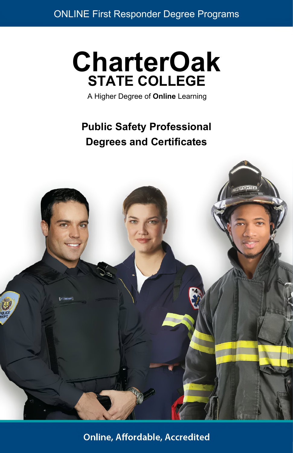# **CharterOak STATE COLLEGE**

A Higher Degree of **Online** Learning

# **Public Safety Professional Degrees and Certificates**



**Online, Affordable, Accredited**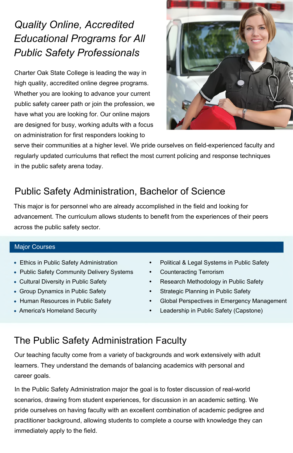# *Quality Online, Accredited Educational Programs for All Public Safety Professionals*

Charter Oak State College is leading the way in high quality, accredited online degree programs. Whether you are looking to advance your current public safety career path or join the profession, we have what you are looking for. Our online majors are designed for busy, working adults with a focus on administration for first responders looking to



serve their communities at a higher level. We pride ourselves on field-experienced faculty and regularly updated curriculums that reflect the most current policing and response techniques in the public safety arena today.

# Public Safety Administration, Bachelor of Science

This major is for personnel who are already accomplished in the field and looking for advancement. The curriculum allows students to benefit from the experiences of their peers across the public safety sector.

#### Major Courses

- Ethics in Public Safety Administration
- Public Safety Community Delivery Systems
- Cultural Diversity in Public Safety
- Group Dynamics in Public Safety
- Human Resources in Public Safety
- America's Homeland Security
- **•** Political & Legal Systems in Public Safety
- **•** Counteracting Terrorism
- **•** Research Methodology in Public Safety
- **•** Strategic Planning in Public Safety
- **•** Global Perspectives in Emergency Management
- **•** Leadership in Public Safety (Capstone)

### The Public Safety Administration Faculty

Our teaching faculty come from a variety of backgrounds and work extensively with adult learners. They understand the demands of balancing academics with personal and career goals.

In the Public Safety Administration major the goal is to foster discussion of real-world scenarios, drawing from student experiences, for discussion in an academic setting. We pride ourselves on having faculty with an excellent combination of academic pedigree and practitioner background, allowing students to complete a course with knowledge they can immediately apply to the field.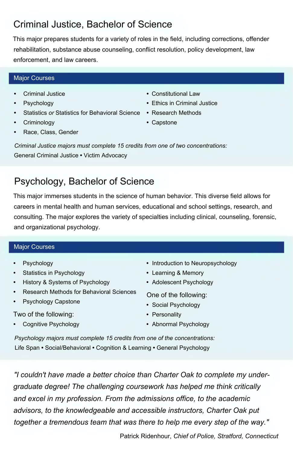## Criminal Justice, Bachelor of Science

This major prepares students for a variety of roles in the field, including corrections, offender rehabilitation, substance abuse counseling, conflict resolution, policy development, law enforcement, and law careers.

#### Major Courses

- **•** Criminal Justice
- **•** Psychology
- **•** Statistics *or* Statistics for Behavioral Science **•** Research Methods
- **•** Criminology
- **•** Race, Class, Gender
- **•** Constitutional Law
- **•** Ethics in Criminal Justice
- 
- **•** Capstone

*Criminal Justice majors must complete 15 credits from one of two concentrations:* General Criminal Justice **•** Victim Advocacy

# Psychology, Bachelor of Science

This major immerses students in the science of human behavior. This diverse field allows for careers in mental health and human services, educational and school settings, research, and consulting. The major explores the variety of specialties including clinical, counseling, forensic, and organizational psychology.

#### Major Courses

- **•** Psychology
- **•** Statistics in Psychology
- **•** History & Systems of Psychology
- **•** Research Methods for Behavioral Sciences
- **•** Psychology Capstone

Two of the following:

**•** Cognitive Psychology

- **•** Introduction to Neuropsychology
- **•** Learning & Memory
- **•** Adolescent Psychology

One of the following:

- **•** Social Psychology
- **•** Personality
- **•** Abnormal Psychology

*Psychology majors must complete 15 credits from one of the concentrations:* Life Span **•** Social/Behavioral **•** Cognition & Learning **•** General Psychology

*"I couldn't have made a better choice than Charter Oak to complete my undergraduate degree! The challenging coursework has helped me think critically and excel in my profession. From the admissions office, to the academic advisors, to the knowledgeable and accessible instructors, Charter Oak put together a tremendous team that was there to help me every step of the way."*

Patrick Ridenhour, *Chief of Police, Stratford, Connecticut*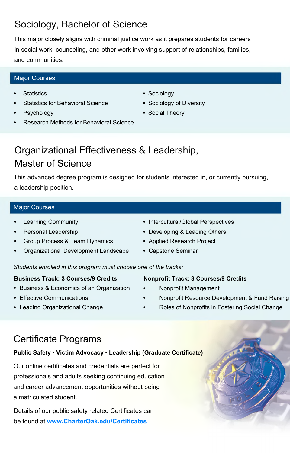## Sociology, Bachelor of Science

This major closely aligns with criminal justice work as it prepares students for careers in social work, counseling, and other work involving support of relationships, families, and communities.

**•** Sociology

**•** Sociology of Diversity **•** Social Theory

#### Major Courses

- **•** Statistics
- **•** Statistics for Behavioral Science
- **•** Psychology
- **•** Research Methods for Behavioral Science
- Organizational Effectiveness & Leadership, Master of Science

This advanced degree program is designed for students interested in, or currently pursuing, a leadership position.

#### Major Courses

- **•** Learning Community
- **•** Personal Leadership
- **•** Group Process & Team Dynamics
- **•** Organizational Development Landscape
- **•** Intercultural/Global Perspectives
- **•** Developing & Leading Others
- **•** Applied Research Project
- **•** Capstone Seminar

*Students enrolled in this program must choose one of the tracks:*

#### **Business Track: 3 Courses/9 Credits**

- **•** Business & Economics of an Organization
- **•** Effective Communications
- **•** Leading Organizational Change

# Certificate Programs

#### **Public Safety • Victim Advocacy • Leadership (Graduate Certificate)**

Our online certificates and credentials are perfect for professionals and adults seeking continuing education and career advancement opportunities without being a matriculated student.

Details of our public safety related Certificates can be found at **[www.CharterOak.edu/Certificates](http://www.CharterOak.edu/Certificates)**

#### **Nonprofit Track: 3 Courses/9 Credits**

- **•** Nonprofit Management
- **•** Nonprofit Resource Development & Fund Raising
- **•** Roles of Nonprofits in Fostering Social Change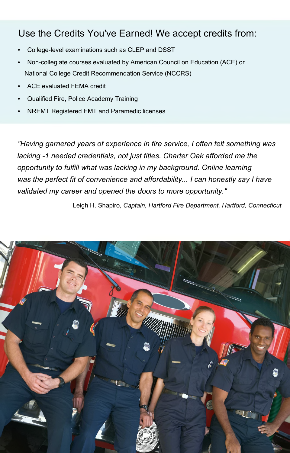### Use the Credits You've Earned! We accept credits from:

- **•** College-level examinations such as CLEP and DSST
- **•** Non-collegiate courses evaluated by American Council on Education (ACE) or National College Credit Recommendation Service (NCCRS)
- **•** ACE evaluated FEMA credit
- **•** Qualified Fire, Police Academy Training
- **•** NREMT Registered EMT and Paramedic licenses

*"Having garnered years of experience in fire service, I often felt something was lacking -1 needed credentials, not just titles. Charter Oak afforded me the opportunity to fulfill what was lacking in my background. Online learning was the perfect fit of convenience and affordability... I can honestly say I have validated my career and opened the doors to more opportunity."*

Leigh H. Shapiro, *Captain, Hartford Fire Department, Hartford, Connecticut*